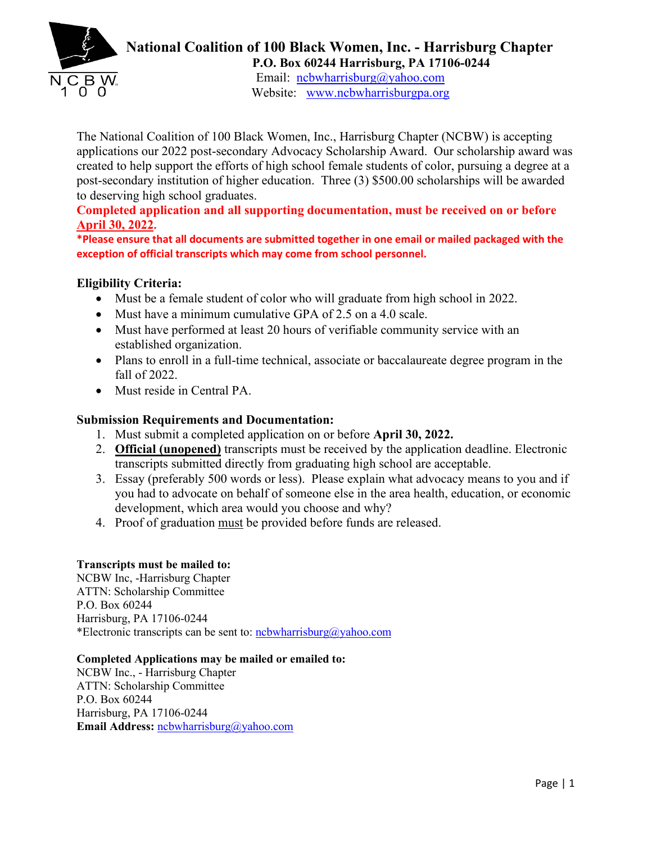

## **National Coalition of 100 Black Women, Inc. - Harrisburg Chapter P.O. Box 60244 Harrisburg, PA 17106-0244**

Email: ncbwharrisburg@yahoo.com Website: [www.ncbwharrisburgpa.org](http://www.ncbwharrisburgpa.org/) 

The National Coalition of 100 Black Women, Inc., Harrisburg Chapter (NCBW) is accepting applications our 2022 post-secondary Advocacy Scholarship Award. Our scholarship award was created to help support the efforts of high school female students of color, pursuing a degree at a post-secondary institution of higher education. Three (3) \$500.00 scholarships will be awarded to deserving high school graduates.

**Completed application and all supporting documentation, must be received on or before April 30, 2022.** 

**\*Please ensure that all documents are submitted together in one email or mailed packaged with the exception of official transcripts which may come from school personnel.**

### **Eligibility Criteria:**

- Must be a female student of color who will graduate from high school in 2022.
- Must have a minimum cumulative GPA of 2.5 on a 4.0 scale.
- Must have performed at least 20 hours of verifiable community service with an established organization.
- Plans to enroll in a full-time technical, associate or baccalaureate degree program in the fall of 2022.
- Must reside in Central PA.

## **Submission Requirements and Documentation:**

- 1. Must submit a completed application on or before **April 30, 2022.**
- 2. **Official (unopened)** transcripts must be received by the application deadline. Electronic transcripts submitted directly from graduating high school are acceptable.
- 3. Essay (preferably 500 words or less). Please explain what advocacy means to you and if you had to advocate on behalf of someone else in the area health, education, or economic development, which area would you choose and why?
- 4. Proof of graduation must be provided before funds are released.

#### **Transcripts must be mailed to:**

NCBW Inc, -Harrisburg Chapter ATTN: Scholarship Committee P.O. Box 60244 Harrisburg, PA 17106-0244 \*Electronic transcripts can be sent to: ncbwharrisburg@yahoo.com

#### **Completed Applications may be mailed or emailed to:**

NCBW Inc., - Harrisburg Chapter ATTN: Scholarship Committee P.O. Box 60244 Harrisburg, PA 17106-0244 **Email Address:** ncbwharrisburg@yahoo.com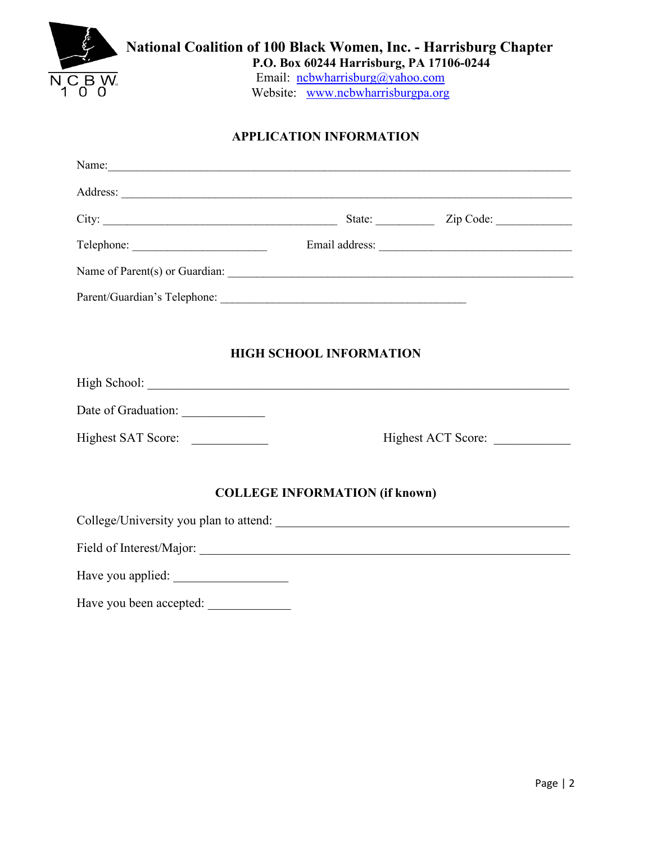| $\overline{\mathsf{N}}$ C B W. | P.O. Box 60244 Harrisburg, PA 17106-0244<br>Email: ncbwharrisburg@yahoo.com<br>Website: www.ncbwharrisburgpa.org |  |
|--------------------------------|------------------------------------------------------------------------------------------------------------------|--|
|                                | <b>APPLICATION INFORMATION</b>                                                                                   |  |
|                                |                                                                                                                  |  |
|                                |                                                                                                                  |  |
|                                |                                                                                                                  |  |
|                                |                                                                                                                  |  |
|                                |                                                                                                                  |  |
|                                |                                                                                                                  |  |
|                                |                                                                                                                  |  |
|                                | <b>HIGH SCHOOL INFORMATION</b>                                                                                   |  |

Highest SAT Score: \_\_\_\_\_\_\_\_\_\_\_\_ Highest ACT Score: \_\_\_\_\_\_\_\_\_\_\_\_

# **COLLEGE INFORMATION (if known)**

College/University you plan to attend: \_\_\_\_\_\_\_\_\_\_\_\_\_\_\_\_\_\_\_\_\_\_\_\_\_\_\_\_\_\_\_\_\_\_\_\_\_\_\_\_\_\_\_\_\_\_

Field of Interest/Major: \_\_\_\_\_\_\_\_\_\_\_\_\_\_\_\_\_\_\_\_\_\_\_\_\_\_\_\_\_\_\_\_\_\_\_\_\_\_\_\_\_\_\_\_\_\_\_\_\_\_\_\_\_\_\_\_\_\_

Have you applied: \_\_\_\_\_\_\_\_\_\_\_\_\_\_\_\_\_\_

Have you been accepted: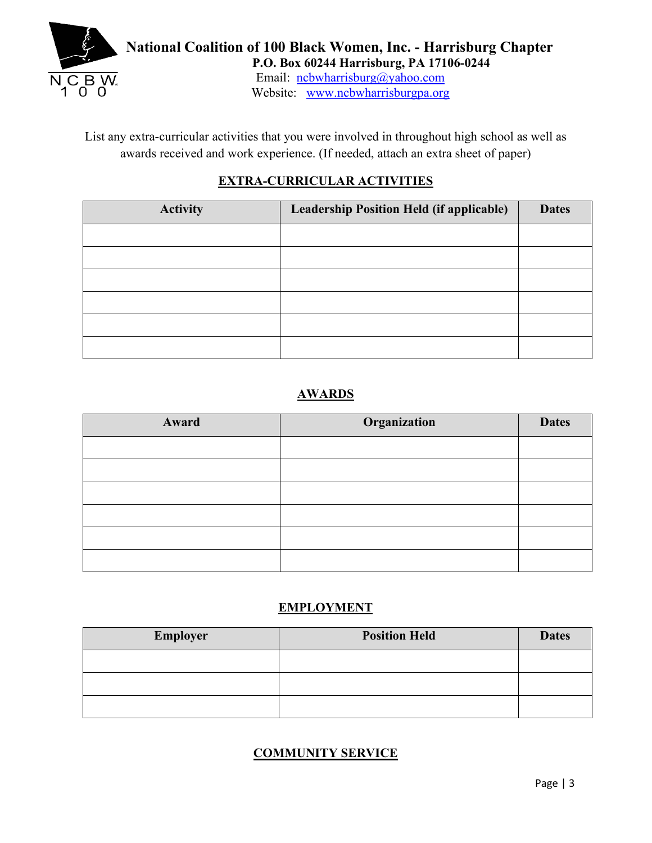

Email: ncbwharrisburg@yahoo.com Website: [www.ncbwharrisburgpa.org](http://www.ncbwharrisburgpa.org/) 

List any extra-curricular activities that you were involved in throughout high school as well as awards received and work experience. (If needed, attach an extra sheet of paper)

# **EXTRA-CURRICULAR ACTIVITIES**

| <b>Activity</b> | <b>Leadership Position Held (if applicable)</b> | <b>Dates</b> |
|-----------------|-------------------------------------------------|--------------|
|                 |                                                 |              |
|                 |                                                 |              |
|                 |                                                 |              |
|                 |                                                 |              |
|                 |                                                 |              |
|                 |                                                 |              |

# **AWARDS**

| Award | Organization | <b>Dates</b> |
|-------|--------------|--------------|
|       |              |              |
|       |              |              |
|       |              |              |
|       |              |              |
|       |              |              |
|       |              |              |

# **EMPLOYMENT**

| <b>Employer</b> | <b>Position Held</b> | <b>Dates</b> |
|-----------------|----------------------|--------------|
|                 |                      |              |
|                 |                      |              |
|                 |                      |              |

# **COMMUNITY SERVICE**